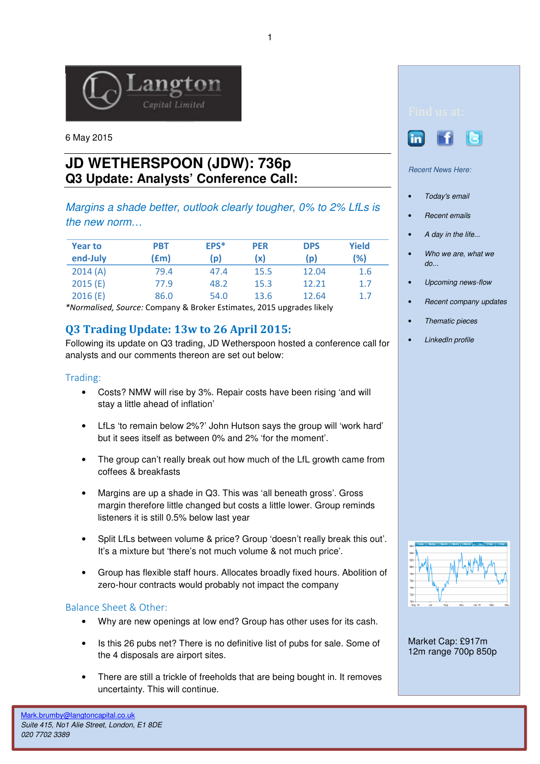

6 May 2015

# **JD WETHERSPOON (JDW): 736p Q3 Update: Analysts' Conference Call:**

Margins a shade better, outlook clearly tougher, 0% to 2% LfLs is the new norm…

| <b>Year to</b><br>end-July | <b>PBT</b><br>(£m) | EPS*<br>(p) | <b>PER</b><br>(x) | <b>DPS</b><br>(p) | Yield<br>(%) |
|----------------------------|--------------------|-------------|-------------------|-------------------|--------------|
| 2014(A)                    | 79.4               | 47.4        | 15.5              | 12.04             | 1.6          |
| 2015(E)                    | 77.9               | 48.2        | 15.3              | 12.21             | 1.7          |
| 2016(E)                    | 86.0               | 54.0        | 13.6              | 12.64             | 1.7          |

\*Normalised, Source: Company & Broker Estimates, 2015 upgrades likely

## Q3 Trading Update: 13w to 26 April 2015:

Following its update on Q3 trading, JD Wetherspoon hosted a conference call for analysts and our comments thereon are set out below:

#### Trading:

- Costs? NMW will rise by 3%. Repair costs have been rising 'and will stay a little ahead of inflation'
- LfLs 'to remain below 2%?' John Hutson says the group will 'work hard' but it sees itself as between 0% and 2% 'for the moment'.
- The group can't really break out how much of the LfL growth came from coffees & breakfasts
- Margins are up a shade in Q3. This was 'all beneath gross'. Gross margin therefore little changed but costs a little lower. Group reminds listeners it is still 0.5% below last year
- Split LfLs between volume & price? Group 'doesn't really break this out'. It's a mixture but 'there's not much volume & not much price'.
- Group has flexible staff hours. Allocates broadly fixed hours. Abolition of zero-hour contracts would probably not impact the company

### Balance Sheet & Other:

- Why are new openings at low end? Group has other uses for its cash.
- Is this 26 pubs net? There is no definitive list of pubs for sale. Some of the 4 disposals are airport sites.
- There are still a trickle of freeholds that are being bought in. It removes uncertainty. This will continue.





Recent News Here:

- Today's email
- **Recent emails**
- A day in the life...
- Who we are, what we  $d\rho$ ...
- Upcoming news-flow
- Recent company updates
- Thematic pieces
- LinkedIn profile



Market Cap: £917m 12m range 700p 850p